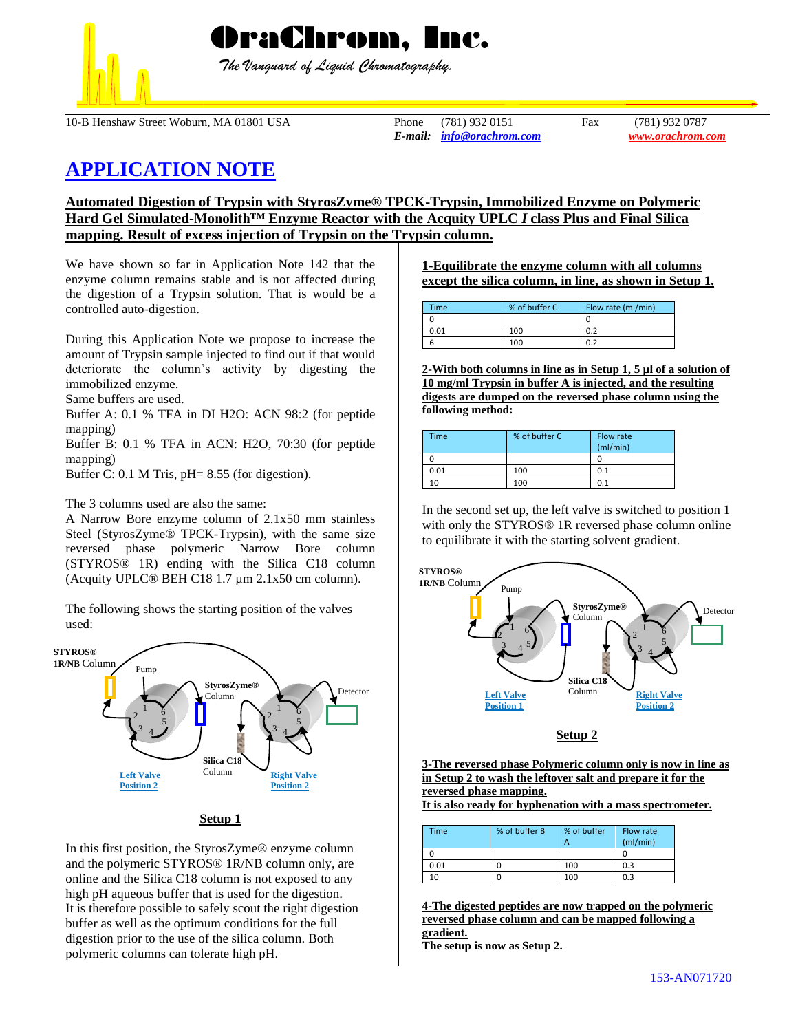

OraChrom, Inc.

 *The Vanguard of Liquid Chromatography.*

10-B Henshaw Street Woburn, MA 01801 USA Phone (781) 932 0151 Fax (781) 932 0787

*E-mail: [info@orachrom.com](mailto:info@orachrom.com) www.orachrom.com*

# **APPLICATION NOTE**

**Automated Digestion of Trypsin with StyrosZyme® TPCK-Trypsin, Immobilized Enzyme on Polymeric Hard Gel Simulated-Monolith™ Enzyme Reactor with the Acquity UPLC** *I* **class Plus and Final Silica mapping. Result of excess injection of Trypsin on the Trypsin column.**

We have shown so far in Application Note 142 that the enzyme column remains stable and is not affected during the digestion of a Trypsin solution. That is would be a controlled auto-digestion.

During this Application Note we propose to increase the amount of Trypsin sample injected to find out if that would deteriorate the column's activity by digesting the immobilized enzyme.

Same buffers are used.

Buffer A: 0.1 % TFA in DI H2O: ACN 98:2 (for peptide mapping)

Buffer B: 0.1 % TFA in ACN: H2O, 70:30 (for peptide mapping)

Buffer C: 0.1 M Tris, pH= 8.55 (for digestion).

The 3 columns used are also the same:

A Narrow Bore enzyme column of 2.1x50 mm stainless Steel (StyrosZyme® TPCK-Trypsin), with the same size reversed phase polymeric Narrow Bore column (STYROS® 1R) ending with the Silica C18 column (Acquity UPLC® BEH C18 1.7 µm 2.1x50 cm column).

The following shows the starting position of the valves used:



**Setup 1**

In this first position, the StyrosZyme® enzyme column and the polymeric STYROS® 1R/NB column only, are online and the Silica C18 column is not exposed to any high pH aqueous buffer that is used for the digestion. It is therefore possible to safely scout the right digestion buffer as well as the optimum conditions for the full digestion prior to the use of the silica column. Both polymeric columns can tolerate high pH.

## **1-Equilibrate the enzyme column with all columns except the silica column, in line, as shown in Setup 1.**

| Time | % of buffer C | Flow rate (ml/min) |
|------|---------------|--------------------|
|      |               |                    |
| 0.01 | 100           | 0.2                |
|      | 100           | 0.2                |

**2-With both columns in line as in Setup 1, 5 µl of a solution of 10 mg/ml Trypsin in buffer A is injected, and the resulting digests are dumped on the reversed phase column using the following method:**

| Time | % of buffer C | Flow rate<br>(mI/min) |
|------|---------------|-----------------------|
|      |               |                       |
| 0.01 | 100           | 0.1                   |
|      | 100           | 0.1                   |

In the second set up, the left valve is switched to position 1 with only the STYROS<sup>®</sup> 1R reversed phase column online to equilibrate it with the starting solvent gradient.



#### **Setup 2**

**3-The reversed phase Polymeric column only is now in line as in Setup 2 to wash the leftover salt and prepare it for the reversed phase mapping.** 

**It is also ready for hyphenation with a mass spectrometer.** 

| Time | % of buffer B | % of buffer | Flow rate<br>(mI/min) |
|------|---------------|-------------|-----------------------|
|      |               |             |                       |
| 0.01 |               | 100         | 0.3                   |
| 10   |               | 100         | 0.3                   |

**4-The digested peptides are now trapped on the polymeric reversed phase column and can be mapped following a gradient. The setup is now as Setup 2.**